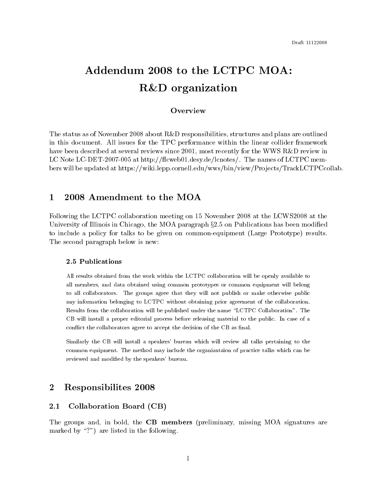# Addendum 2008 to the LCTPC MOA:  $R\&D$  organization

# Overview

The status as of November 2008 about R&D responsibilities, structures and plans are outlined in this document. All issues for the TPC performance within the linear collider framework have been described at several reviews since 2001, most recently for the WWS R&D review in LC Note LC-DET-2007-005 at http://flcweb01.desy.de/lcnotes/. The names of LCTPC members will be updated at https://wiki.lepp.cornell.edu/wws/bin/view/Projects/TrackLCTPCcollab.

## 1 2008 Amendment to the MOA

Following the LCTPC collaboration meeting on 15 November 2008 at the LCWS2008 at the University of Illinois in Chicago, the MOA paragraph  $\S 2.5$  on Publications has been modified to include a policy for talks to be given on common-equipment (Large Prototype) results. The second paragraph below is new:

# 2.5 Publications

All results obtained from the work within the LCTPC collaboration will be openly available to all members, and data obtained using common prototypes or common equipment will belong to all collaborators. The groups agree that they will not publish or make otherwise public any information belonging to LCTPC without obtaining prior agreement of the collaboration. Results from the collaboration will be published under the name "LCTPC Collaboration". The CB will install a proper editorial process before releasing material to the public. In case of a conflict the collaborators agree to accept the decision of the CB as final.

Similarly the CB will install a speakers' bureau which will review all talks pertaining to the common equipment. The method may include the organizataion of practice talks which can be reviewed and modified by the speakers' bureau.

## $\overline{2}$ **Responsibilites 2008**

#### $2.1$ Collaboration Board (CB)

The groups and, in bold, the **CB members** (preliminary, missing MOA signatures are marked by "?") are listed in the following.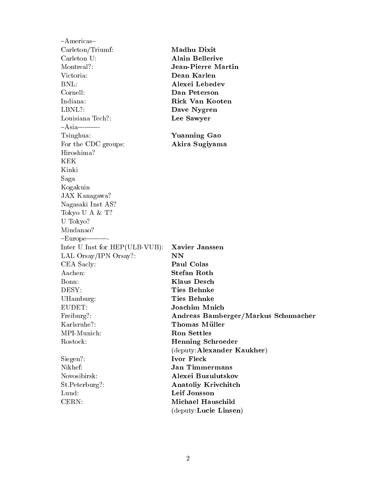$-A$ mericas $-$ Carleton/Triumf: Madhu Dixit Carleton U: **Alain Bellerive Jean-Pierre Martin** Montreal?: Victoria: Dean Karlen BNL: Alexei Lebedev Cornell: Dan Peterson Rick Van Kooten Indiana: LBNL?: Dave Nygren Louisiana Tech?: Lee Sawyer  $-A$ sia Tsinghua: Yuanning Gao For the CDC groups: Akira Sugiyama Hiroshima? **KEK** Kinki Saga Kogakuin JAX Kanagawa? Nagasaki Inst AS? Tokyo U A & T? U Tokyo? Mindanao?  $-Eu$ rope $-$ Inter U Inst for HEP(ULB-VUB): **Xavier Janssen** LAL Orsay/IPN Orsay?: **NN** CEA Sacly: Paul Colas Aachen: **Stefan Roth** Bonn: **Klaus Desch** DESY: **Ties Behnke** UHamburg: **Ties Behnke** EUDET: Joachim Mnich Andreas Bamberger/Markus Schumacher Freiburg?: Karlsruhe?: **Thomas Müller** MPI-Munich: **Ron Settles** Rostock: **Henning Schroeder** (deputy: Alexander Kaukher) Siegen?: Ivor Fleck **Jan Timmermans** Nikhef: Alexei Buzulutskov Novosibirsk: St.Peterburg?: **Anatoliy Krivchitch** Lund: Leif Jonsson CERN: Michael Hauschild (deputy:Lucie Linsen)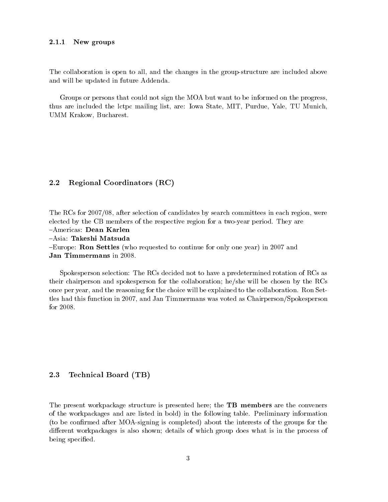#### $2.1.1$ New groups

The collaboration is open to all, and the changes in the group-structure are included above and will be updated in future Addenda.

Groups or persons that could not sign the MOA but want to be informed on the progress, thus are included the lctpc mailing list, are: Iowa State, MIT, Purdue, Yale, TU Munich, UMM Krakow, Bucharest.

#### 2.2 Regional Coordinators (RC)

The RCs for 2007/08, after selection of candidates by search committees in each region, were elected by the CB members of the respective region for a two-year period. They are

-Americas: Dean Karlen

-Asia: Takeshi Matsuda

-Europe: Ron Settles (who requested to continue for only one year) in 2007 and Jan Timmermans in 2008.

Spokesperson selection: The RCs decided not to have a predetermined rotation of RCs as their chairperson and spokesperson for the collaboration; he/she will be chosen by the RCs once per year, and the reasoning for the choice will be explained to the collaboration. Ron Settles had this function in 2007, and Jan Timmermans was voted as Chairperson/Spokesperson for 2008.

#### 2.3 Technical Board (TB)

The present workpackage structure is presented here; the **TB members** are the conveners of the workpackages and are listed in bold) in the following table. Preliminary information (to be confirmed after MOA-signing is completed) about the interests of the groups for the different workpackages is also shown; details of which group does what is in the process of being specified.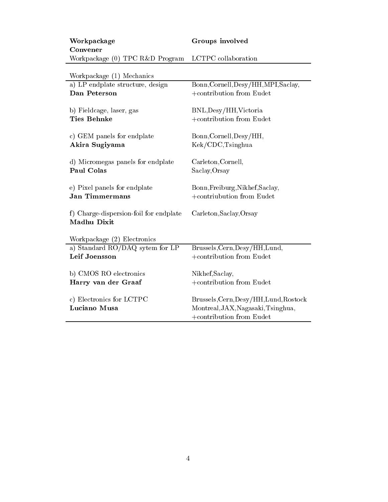| Workpackage                       | Groups involved     |
|-----------------------------------|---------------------|
| Convener                          |                     |
| Workpackage (0) $TPC$ R&D Program | LCTPC collaboration |

| Workpackage (1) | Mechanics |
|-----------------|-----------|
|                 |           |

| a) LP endplate structure, design                      | Bonn, Cornell, Desy/HH, MPI, Saclay,   |
|-------------------------------------------------------|----------------------------------------|
| Dan Peterson                                          | +contribution from Eudet               |
| b) Fieldcage, laser, gas                              | BNL, Desy/HH, Victoria                 |
| <b>Ties Behnke</b>                                    | +contribution from Eudet               |
| c) GEM panels for endplate                            | Bonn, Cornell, Desy/HH,                |
| Akira Sugiyama                                        | Kek/CDC, Tsinghua                      |
| d) Micromegas panels for endplate                     | Carleton, Cornell,                     |
| Paul Colas                                            | Saclay, Orsay                          |
| e) Pixel panels for endplate                          | Bonn, Freiburg, Nikhef, Saclay,        |
| <b>Jan Timmermans</b>                                 | +contriubution from Eudet              |
| f) Charge-dispersion-foil for endplate<br>Madhu Dixit | Carleton, Saclay, Orsay                |
| Workpackage (2) Electronics                           |                                        |
| a) Standard RO/DAQ sytem for LP                       | Brussels, Cern, Desy/HH, Lund,         |
| Leif Joensson                                         | +contribution from Eudet               |
| b) CMOS RO electronics                                | Nikhef, Saclay,                        |
| Harry van der Graaf                                   | +contribution from Eudet               |
| c) Electronics for LCTPC                              | Brussels, Cern, Desy/HH, Lund, Rostock |
| Luciano Musa                                          | Montreal, JAX, Nagasaki, Tsinghua,     |
|                                                       | +contribution from Eudet               |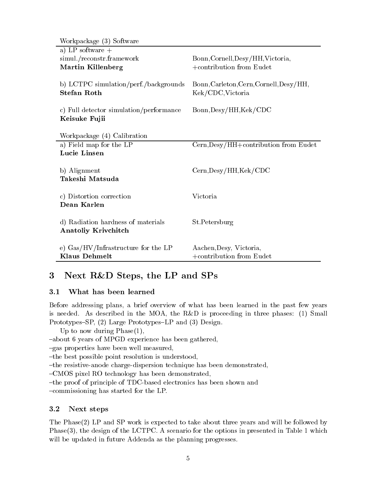| Workpackage (3) Software                                   |                                         |
|------------------------------------------------------------|-----------------------------------------|
| a) LP software $+$                                         |                                         |
| simul./reconstr.framework                                  | Bonn, Cornell, Desy/HH, Victoria,       |
| Martin Killenberg                                          | $+$ contribution from Eudet             |
| b) LCTPC simulation/perf./backgrounds                      | Bonn, Carleton, Cern, Cornell, Desy/HH, |
| <b>Stefan Roth</b>                                         | Kek/CDC, Victoria                       |
|                                                            |                                         |
| c) Full detector simulation/performance                    | $Bonn,$ Desy/HH,Kek/CDC                 |
| Keisuke Fujii                                              |                                         |
|                                                            |                                         |
| Workpackage (4) Calibration                                |                                         |
| a) Field map for the LP                                    | Cern, Desy/HH+contribution from Eudet   |
| Lucie Linsen                                               |                                         |
| b) Alignment                                               | Cern, Desy/HH, Kek/CDC                  |
| Takeshi Matsuda                                            |                                         |
|                                                            |                                         |
| c) Distortion correction                                   | Victoria                                |
| Dean Karlen                                                |                                         |
|                                                            |                                         |
| d) Radiation hardness of materials                         | St.Petersburg                           |
| Anatoliy Krivchitch                                        |                                         |
|                                                            |                                         |
| e) $\text{Gas}/\text{HV}/\text{Infrastructure}$ for the LP | Aachen, Desy, Victoria,                 |
| <b>Klaus Dehmelt</b>                                       | +contribution from Eudet                |

## Next R&D Steps, the LP and SPs 3

#### $3.1$ What has been learned

Before addressing plans, a brief overview of what has been learned in the past few years is needed. As described in the MOA, the R&D is proceeding in three phases:  $(1)$  Small Prototypes–SP, (2) Large Prototypes–LP and (3) Design.

Up to now during  $Phase(1)$ ,

-about 6 years of MPGD experience has been gathered,

-gas properties have been well measured,

-the best possible point resolution is understood,

-the resistive-anode charge-dispersion technique has been demonstrated,

-CMOS pixel RO technology has been demonstrated,

-the proof of principle of TDC-based electronics has been shown and

-commissioning has started for the LP.

#### 3.2 Next steps

The Phase(2) LP and SP work is expected to take about three years and will be followed by Phase(3), the design of the LCTPC. A scenario for the options in presented in Table 1 which will be updated in future Addenda as the planning progresses.